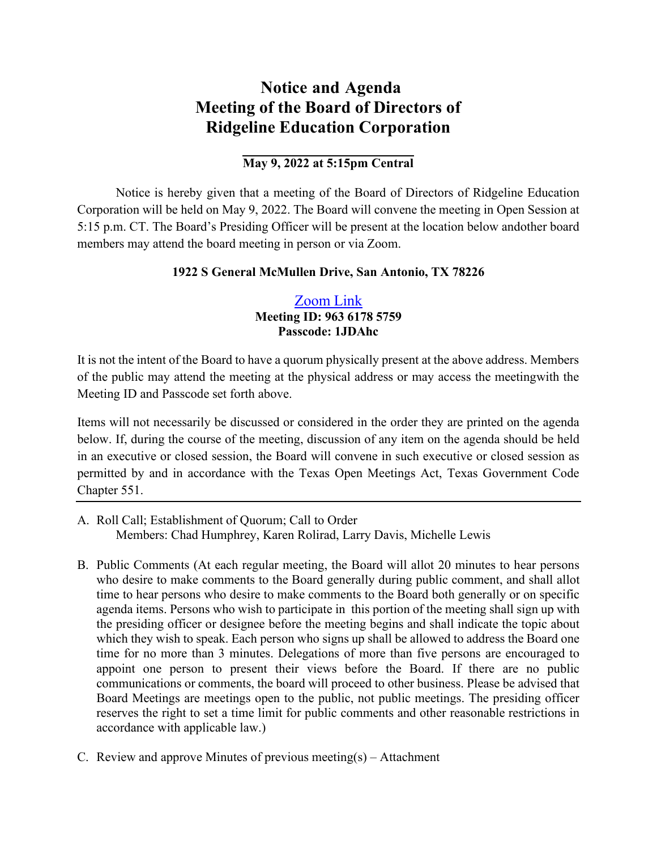# **Notice and Agenda Meeting of the Board of Directors of Ridgeline Education Corporation**

# **May 9, 2022 at 5:15pm Central**

Notice is hereby given that a meeting of the Board of Directors of Ridgeline Education Corporation will be held on May 9, 2022. The Board will convene the meeting in Open Session at 5:15 p.m. CT. The Board's Presiding Officer will be present at the location below and other board members may attend the board meeting in person or via Zoom.

## **1922 S General McMullen Drive, San Antonio, TX 78226**

# [Zoom](https://zoom.us/j/96361785759?pwd=UTZxMWU0Q21TalRJQXNhclFObUFWQT09) Link **Meeting ID: 963 6178 5759 Passcode: 1JDAhc**

It is not the intent of the Board to have a quorum physically present at the above address. Members of the public may attend the meeting at the physical address or may access the meetingwith the Meeting ID and Passcode set forth above.

Items will not necessarily be discussed or considered in the order they are printed on the agenda below. If, during the course of the meeting, discussion of any item on the agenda should be held in an executive or closed session, the Board will convene in such executive or closed session as permitted by and in accordance with the Texas Open Meetings Act, Texas Government Code Chapter 551.

- A. Roll Call; Establishment of Quorum; Call to Order Members: Chad Humphrey, Karen Rolirad, Larry Davis, Michelle Lewis
- B. Public Comments (At each regular meeting, the Board will allot 20 minutes to hear persons who desire to make comments to the Board generally during public comment, and shall allot time to hear persons who desire to make comments to the Board both generally or on specific agenda items. Persons who wish to participate in this portion of the meeting shall sign up with the presiding officer or designee before the meeting begins and shall indicate the topic about which they wish to speak. Each person who signs up shall be allowed to address the Board one time for no more than 3 minutes. Delegations of more than five persons are encouraged to appoint one person to present their views before the Board. If there are no public communications or comments, the board will proceed to other business. Please be advised that Board Meetings are meetings open to the public, not public meetings. The presiding officer reserves the right to set a time limit for public comments and other reasonable restrictions in accordance with applicable law.)
- C. Review and approve Minutes of previous meeting(s) Attachment